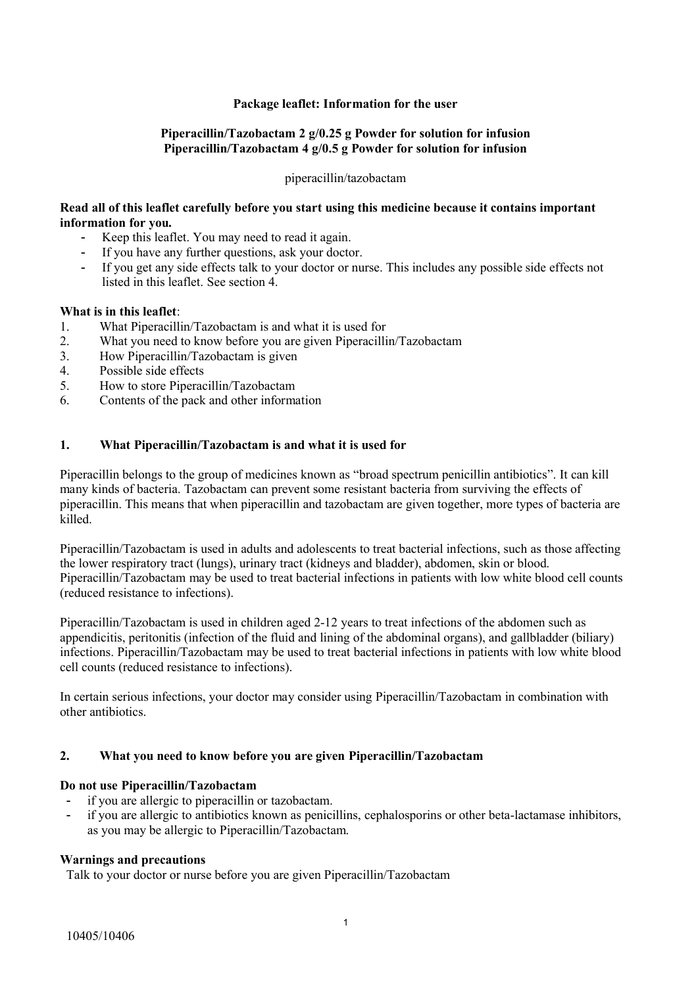### **Package leaflet: Information for the user**

### **Piperacillin/Tazobactam 2 g/0.25 g Powder for solution for infusion Piperacillin/Tazobactam 4 g/0.5 g Powder for solution for infusion**

#### piperacillin/tazobactam

### **Read all of this leaflet carefully before you start using this medicine because it contains important information for you.**

- Keep this leaflet. You may need to read it again.
- If you have any further questions, ask your doctor.
- If you get any side effects talk to your doctor or nurse. This includes any possible side effects not listed in this leaflet. See section 4.

#### **What is in this leaflet**:

- 1. What Piperacillin/Tazobactam is and what it is used for
- 2. What you need to know before you are given Piperacillin/Tazobactam
- 3. How Piperacillin/Tazobactam is given
- 4. Possible side effects
- 5. How to store Piperacillin/Tazobactam
- 6. Contents of the pack and other information

### **1. What Piperacillin/Tazobactam is and what it is used for**

Piperacillin belongs to the group of medicines known as "broad spectrum penicillin antibiotics". It can kill many kinds of bacteria. Tazobactam can prevent some resistant bacteria from surviving the effects of piperacillin. This means that when piperacillin and tazobactam are given together, more types of bacteria are killed.

Piperacillin/Tazobactam is used in adults and adolescents to treat bacterial infections, such as those affecting the lower respiratory tract (lungs), urinary tract (kidneys and bladder), abdomen, skin or blood. Piperacillin/Tazobactam may be used to treat bacterial infections in patients with low white blood cell counts (reduced resistance to infections).

Piperacillin/Tazobactam is used in children aged 2-12 years to treat infections of the abdomen such as appendicitis, peritonitis (infection of the fluid and lining of the abdominal organs), and gallbladder (biliary) infections. Piperacillin/Tazobactam may be used to treat bacterial infections in patients with low white blood cell counts (reduced resistance to infections).

In certain serious infections, your doctor may consider using Piperacillin/Tazobactam in combination with other antibiotics.

#### **2. What you need to know before you are given Piperacillin/Tazobactam**

#### **Do not use Piperacillin/Tazobactam**

- if you are allergic to piperacillin or tazobactam.
- if you are allergic to antibiotics known as penicillins, cephalosporins or other beta-lactamase inhibitors, as you may be allergic to Piperacillin/Tazobactam.

#### **Warnings and precautions**

Talk to your doctor or nurse before you are given Piperacillin/Tazobactam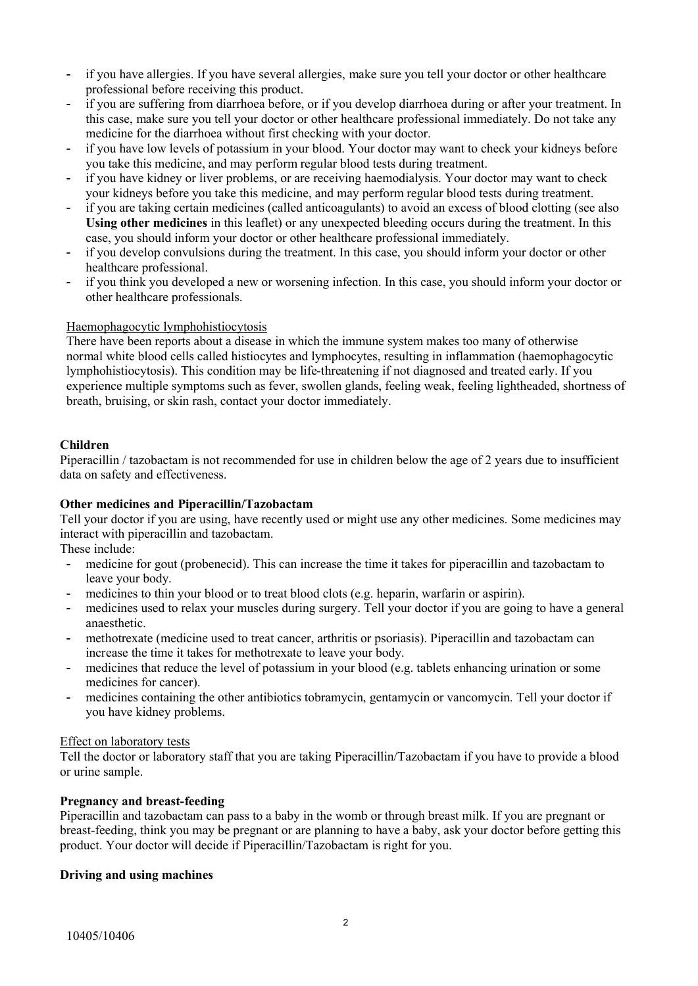- if you have allergies. If you have several allergies, make sure you tell your doctor or other healthcare professional before receiving this product.
- if you are suffering from diarrhoea before, or if you develop diarrhoea during or after your treatment. In this case, make sure you tell your doctor or other healthcare professional immediately. Do not take any medicine for the diarrhoea without first checking with your doctor.
- if you have low levels of potassium in your blood. Your doctor may want to check your kidneys before you take this medicine, and may perform regular blood tests during treatment.
- if you have kidney or liver problems, or are receiving haemodialysis. Your doctor may want to check your kidneys before you take this medicine, and may perform regular blood tests during treatment.
- if you are taking certain medicines (called anticoagulants) to avoid an excess of blood clotting (see also **Using other medicines** in this leaflet) or any unexpected bleeding occurs during the treatment. In this case, you should inform your doctor or other healthcare professional immediately.
- if you develop convulsions during the treatment. In this case, you should inform your doctor or other healthcare professional.
- if you think you developed a new or worsening infection. In this case, you should inform your doctor or other healthcare professionals.

#### Haemophagocytic lymphohistiocytosis

There have been reports about a disease in which the immune system makes too many of otherwise normal white blood cells called histiocytes and lymphocytes, resulting in inflammation (haemophagocytic lymphohistiocytosis). This condition may be life-threatening if not diagnosed and treated early. If you experience multiple symptoms such as fever, swollen glands, feeling weak, feeling lightheaded, shortness of breath, bruising, or skin rash, contact your doctor immediately.

## **Children**

Piperacillin / tazobactam is not recommended for use in children below the age of 2 years due to insufficient data on safety and effectiveness.

#### **Other medicines and Piperacillin/Tazobactam**

Tell your doctor if you are using, have recently used or might use any other medicines. Some medicines may interact with piperacillin and tazobactam.

These include:

- medicine for gout (probenecid). This can increase the time it takes for piperacillin and tazobactam to leave your body.
- medicines to thin your blood or to treat blood clots (e.g. heparin, warfarin or aspirin).
- medicines used to relax your muscles during surgery. Tell your doctor if you are going to have a general anaesthetic.
- methotrexate (medicine used to treat cancer, arthritis or psoriasis). Piperacillin and tazobactam can increase the time it takes for methotrexate to leave your body.
- medicines that reduce the level of potassium in your blood (e.g. tablets enhancing urination or some medicines for cancer).
- medicines containing the other antibiotics tobramycin, gentamycin or vancomycin. Tell your doctor if you have kidney problems.

#### Effect on laboratory tests

Tell the doctor or laboratory staff that you are taking Piperacillin/Tazobactam if you have to provide a blood or urine sample.

## **Pregnancy and breast-feeding**

Piperacillin and tazobactam can pass to a baby in the womb or through breast milk. If you are pregnant or breast-feeding, think you may be pregnant or are planning to have a baby, ask your doctor before getting this product. Your doctor will decide if Piperacillin/Tazobactam is right for you.

#### **Driving and using machines**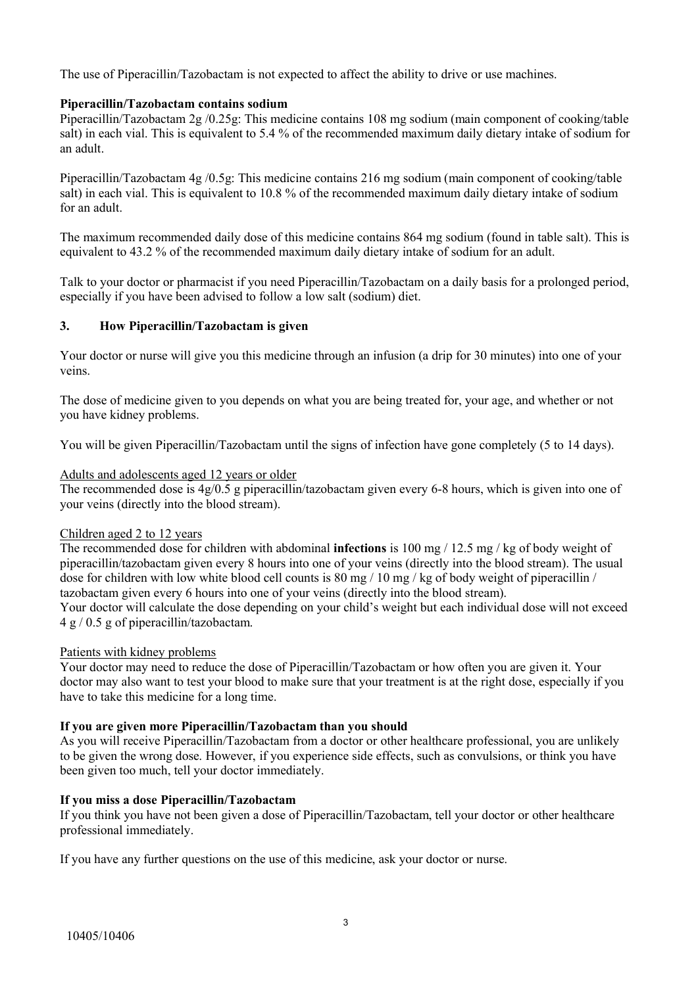The use of Piperacillin/Tazobactam is not expected to affect the ability to drive or use machines.

### **Piperacillin/Tazobactam contains sodium**

Piperacillin/Tazobactam 2g /0.25g: This medicine contains 108 mg sodium (main component of cooking/table salt) in each vial. This is equivalent to 5.4 % of the recommended maximum daily dietary intake of sodium for an adult.

Piperacillin/Tazobactam 4g /0.5g: This medicine contains 216 mg sodium (main component of cooking/table salt) in each vial. This is equivalent to 10.8 % of the recommended maximum daily dietary intake of sodium for an adult.

The maximum recommended daily dose of this medicine contains 864 mg sodium (found in table salt). This is equivalent to 43.2 % of the recommended maximum daily dietary intake of sodium for an adult.

Talk to your doctor or pharmacist if you need Piperacillin/Tazobactam on a daily basis for a prolonged period, especially if you have been advised to follow a low salt (sodium) diet.

### **3. How Piperacillin/Tazobactam is given**

Your doctor or nurse will give you this medicine through an infusion (a drip for 30 minutes) into one of your veins.

The dose of medicine given to you depends on what you are being treated for, your age, and whether or not you have kidney problems.

You will be given Piperacillin/Tazobactam until the signs of infection have gone completely (5 to 14 days).

#### Adults and adolescents aged 12 years or older

The recommended dose is 4g/0.5 g piperacillin/tazobactam given every 6-8 hours, which is given into one of your veins (directly into the blood stream).

#### Children aged 2 to 12 years

The recommended dose for children with abdominal **infections** is 100 mg / 12.5 mg / kg of body weight of piperacillin/tazobactam given every 8 hours into one of your veins (directly into the blood stream). The usual dose for children with low white blood cell counts is  $80 \text{ mg} / 10 \text{ mg}$  / kg of body weight of piperacillin / tazobactam given every 6 hours into one of your veins (directly into the blood stream).

Your doctor will calculate the dose depending on your child's weight but each individual dose will not exceed 4 g / 0.5 g of piperacillin/tazobactam.

## Patients with kidney problems

Your doctor may need to reduce the dose of Piperacillin/Tazobactam or how often you are given it. Your doctor may also want to test your blood to make sure that your treatment is at the right dose, especially if you have to take this medicine for a long time.

#### **If you are given more Piperacillin/Tazobactam than you should**

As you will receive Piperacillin/Tazobactam from a doctor or other healthcare professional, you are unlikely to be given the wrong dose. However, if you experience side effects, such as convulsions, or think you have been given too much, tell your doctor immediately.

#### **If you miss a dose Piperacillin/Tazobactam**

If you think you have not been given a dose of Piperacillin/Tazobactam, tell your doctor or other healthcare professional immediately.

If you have any further questions on the use of this medicine, ask your doctor or nurse.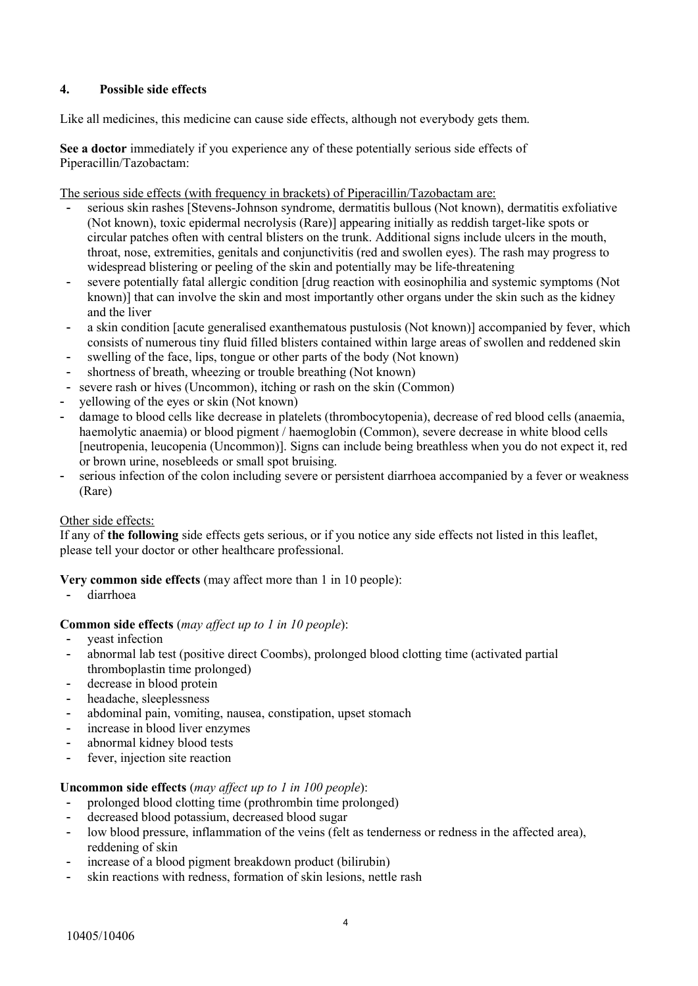## **4. Possible side effects**

Like all medicines, this medicine can cause side effects, although not everybody gets them.

**See a doctor** immediately if you experience any of these potentially serious side effects of Piperacillin/Tazobactam:

The serious side effects (with frequency in brackets) of Piperacillin/Tazobactam are:

- serious skin rashes [Stevens-Johnson syndrome, dermatitis bullous (Not known), dermatitis exfoliative (Not known), toxic epidermal necrolysis (Rare)] appearing initially as reddish target-like spots or circular patches often with central blisters on the trunk. Additional signs include ulcers in the mouth, throat, nose, extremities, genitals and conjunctivitis (red and swollen eyes). The rash may progress to widespread blistering or peeling of the skin and potentially may be life-threatening
- severe potentially fatal allergic condition [drug reaction with eosinophilia and systemic symptoms (Not known)] that can involve the skin and most importantly other organs under the skin such as the kidney and the liver
- a skin condition [acute generalised exanthematous pustulosis (Not known)] accompanied by fever, which consists of numerous tiny fluid filled blisters contained within large areas of swollen and reddened skin
- swelling of the face, lips, tongue or other parts of the body (Not known)
- shortness of breath, wheezing or trouble breathing (Not known)
- severe rash or hives (Uncommon), itching or rash on the skin (Common)
- yellowing of the eyes or skin (Not known)
- damage to blood cells like decrease in platelets (thrombocytopenia), decrease of red blood cells (anaemia, haemolytic anaemia) or blood pigment / haemoglobin (Common), severe decrease in white blood cells [neutropenia, leucopenia (Uncommon)]. Signs can include being breathless when you do not expect it, red or brown urine, nosebleeds or small spot bruising.
- serious infection of the colon including severe or persistent diarrhoea accompanied by a fever or weakness (Rare)

#### Other side effects:

If any of **the following** side effects gets serious, or if you notice any side effects not listed in this leaflet, please tell your doctor or other healthcare professional.

## **Very common side effects** (may affect more than 1 in 10 people):

- diarrhoea

## **Common side effects** (*may affect up to 1 in 10 people*):

- yeast infection
- abnormal lab test (positive direct Coombs), prolonged blood clotting time (activated partial thromboplastin time prolonged)
- decrease in blood protein
- headache, sleeplessness
- abdominal pain, vomiting, nausea, constipation, upset stomach
- increase in blood liver enzymes
- abnormal kidney blood tests
- fever, injection site reaction

#### **Uncommon side effects** (*may affect up to 1 in 100 people*):

- prolonged blood clotting time (prothrombin time prolonged)
- decreased blood potassium, decreased blood sugar
- low blood pressure, inflammation of the veins (felt as tenderness or redness in the affected area), reddening of skin
- increase of a blood pigment breakdown product (bilirubin)
- skin reactions with redness, formation of skin lesions, nettle rash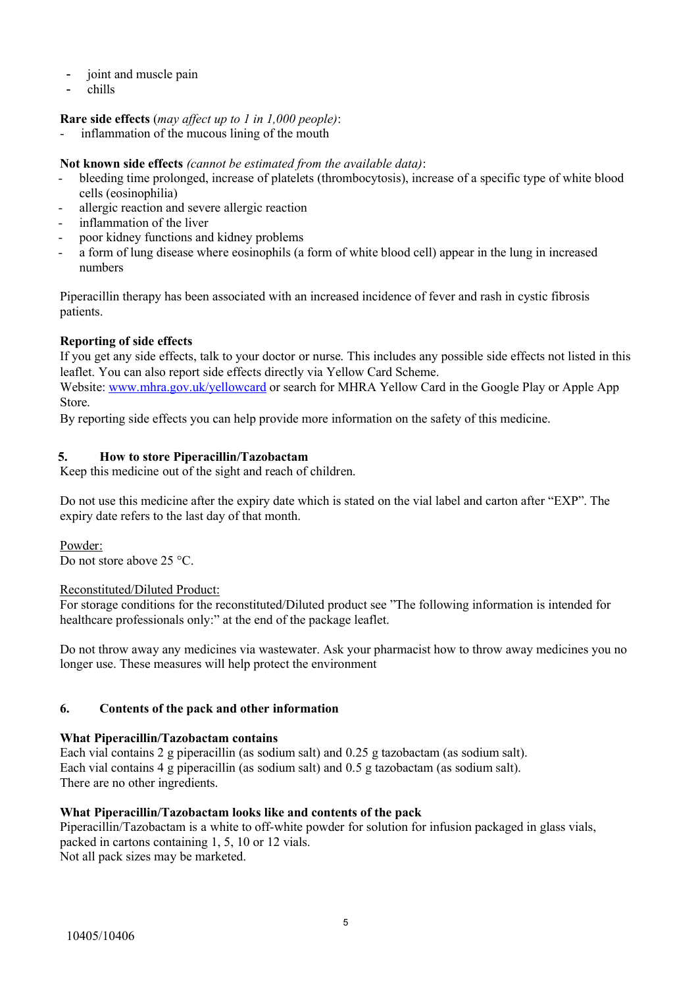- joint and muscle pain
- chills

### **Rare side effects** (*may affect up to 1 in 1,000 people)*:

inflammation of the mucous lining of the mouth

**Not known side effects** *(cannot be estimated from the available data)*:

- bleeding time prolonged, increase of platelets (thrombocytosis), increase of a specific type of white blood cells (eosinophilia)
- allergic reaction and severe allergic reaction
- inflammation of the liver
- poor kidney functions and kidney problems
- a form of lung disease where eosinophils (a form of white blood cell) appear in the lung in increased numbers

Piperacillin therapy has been associated with an increased incidence of fever and rash in cystic fibrosis patients.

### **Reporting of side effects**

If you get any side effects, talk to your doctor or nurse. This includes any possible side effects not listed in this leaflet. You can also report side effects directly via Yellow Card Scheme.

Website: [www.mhra.gov.uk/yellowcard](http://www.mhra.gov.uk/yellowcard) or search for MHRA Yellow Card in the Google Play or Apple App Store.

By reporting side effects you can help provide more information on the safety of this medicine.

## **5. How to store Piperacillin/Tazobactam**

Keep this medicine out of the sight and reach of children.

Do not use this medicine after the expiry date which is stated on the vial label and carton after "EXP". The expiry date refers to the last day of that month.

Powder: Do not store above 25 °C.

#### Reconstituted/Diluted Product:

For storage conditions for the reconstituted/Diluted product see "The following information is intended for healthcare professionals only:" at the end of the package leaflet.

Do not throw away any medicines via wastewater. Ask your pharmacist how to throw away medicines you no longer use. These measures will help protect the environment

## **6. Contents of the pack and other information**

#### **What Piperacillin/Tazobactam contains**

Each vial contains 2 g piperacillin (as sodium salt) and 0.25 g tazobactam (as sodium salt). Each vial contains 4 g piperacillin (as sodium salt) and 0.5 g tazobactam (as sodium salt). There are no other ingredients.

#### **What Piperacillin/Tazobactam looks like and contents of the pack**

Piperacillin/Tazobactam is a white to off-white powder for solution for infusion packaged in glass vials, packed in cartons containing 1, 5, 10 or 12 vials. Not all pack sizes may be marketed.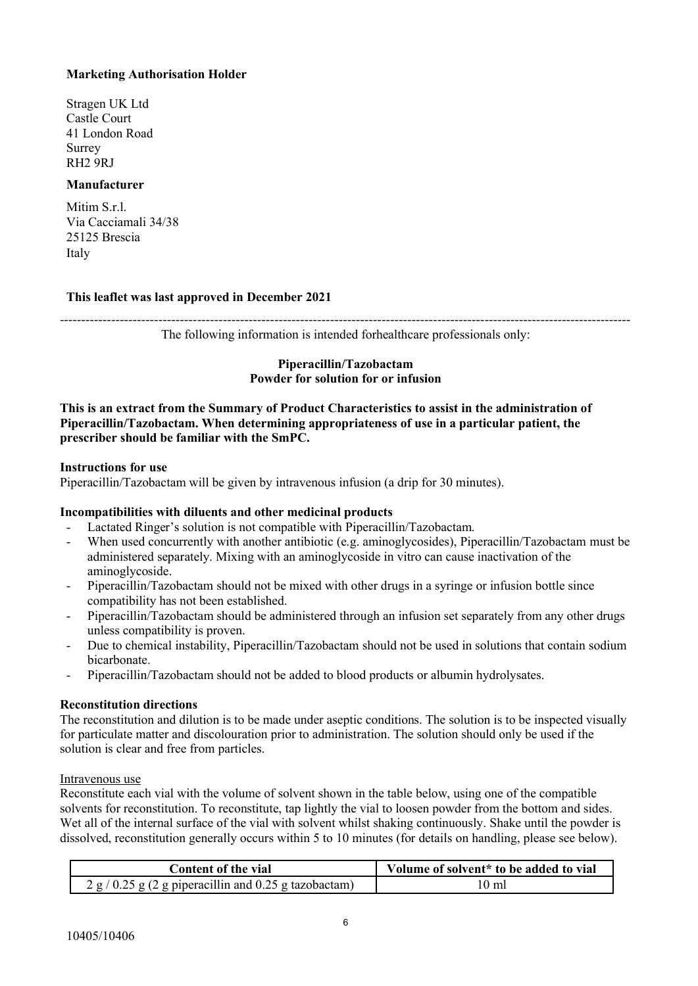## **Marketing Authorisation Holder**

Stragen UK Ltd Castle Court 41 London Road Surrey RH2 9RJ

### **Manufacturer**

Mitim S.r.l. Via Cacciamali 34/38 25125 Brescia Italy

### **This leaflet was last approved in December 2021**

-------------------------------------------------------------------------------------------------------------------------------------

The following information is intended forhealthcare professionals only:

#### **Piperacillin/Tazobactam Powder for solution for or infusion**

**This is an extract from the Summary of Product Characteristics to assist in the administration of Piperacillin/Tazobactam. When determining appropriateness of use in a particular patient, the prescriber should be familiar with the SmPC.**

#### **Instructions for use**

Piperacillin/Tazobactam will be given by intravenous infusion (a drip for 30 minutes).

#### **Incompatibilities with diluents and other medicinal products**

- Lactated Ringer's solution is not compatible with Piperacillin/Tazobactam.
- When used concurrently with another antibiotic (e.g. aminoglycosides), Piperacillin/Tazobactam must be administered separately. Mixing with an aminoglycoside in vitro can cause inactivation of the aminoglycoside.
- Piperacillin/Tazobactam should not be mixed with other drugs in a syringe or infusion bottle since compatibility has not been established.
- Piperacillin/Tazobactam should be administered through an infusion set separately from any other drugs unless compatibility is proven.
- Due to chemical instability, Piperacillin/Tazobactam should not be used in solutions that contain sodium bicarbonate.
- Piperacillin/Tazobactam should not be added to blood products or albumin hydrolysates.

#### **Reconstitution directions**

The reconstitution and dilution is to be made under aseptic conditions. The solution is to be inspected visually for particulate matter and discolouration prior to administration. The solution should only be used if the solution is clear and free from particles.

#### Intravenous use

Reconstitute each vial with the volume of solvent shown in the table below, using one of the compatible solvents for reconstitution. To reconstitute, tap lightly the vial to loosen powder from the bottom and sides. Wet all of the internal surface of the vial with solvent whilst shaking continuously. Shake until the powder is dissolved, reconstitution generally occurs within 5 to 10 minutes (for details on handling, please see below).

| Content of the vial                                      | Volume of solvent* to be added to vial |
|----------------------------------------------------------|----------------------------------------|
| $2 g / 0.25 g (2 g)$ piperacillin and 0.25 g tazobactam) | 10 ml                                  |